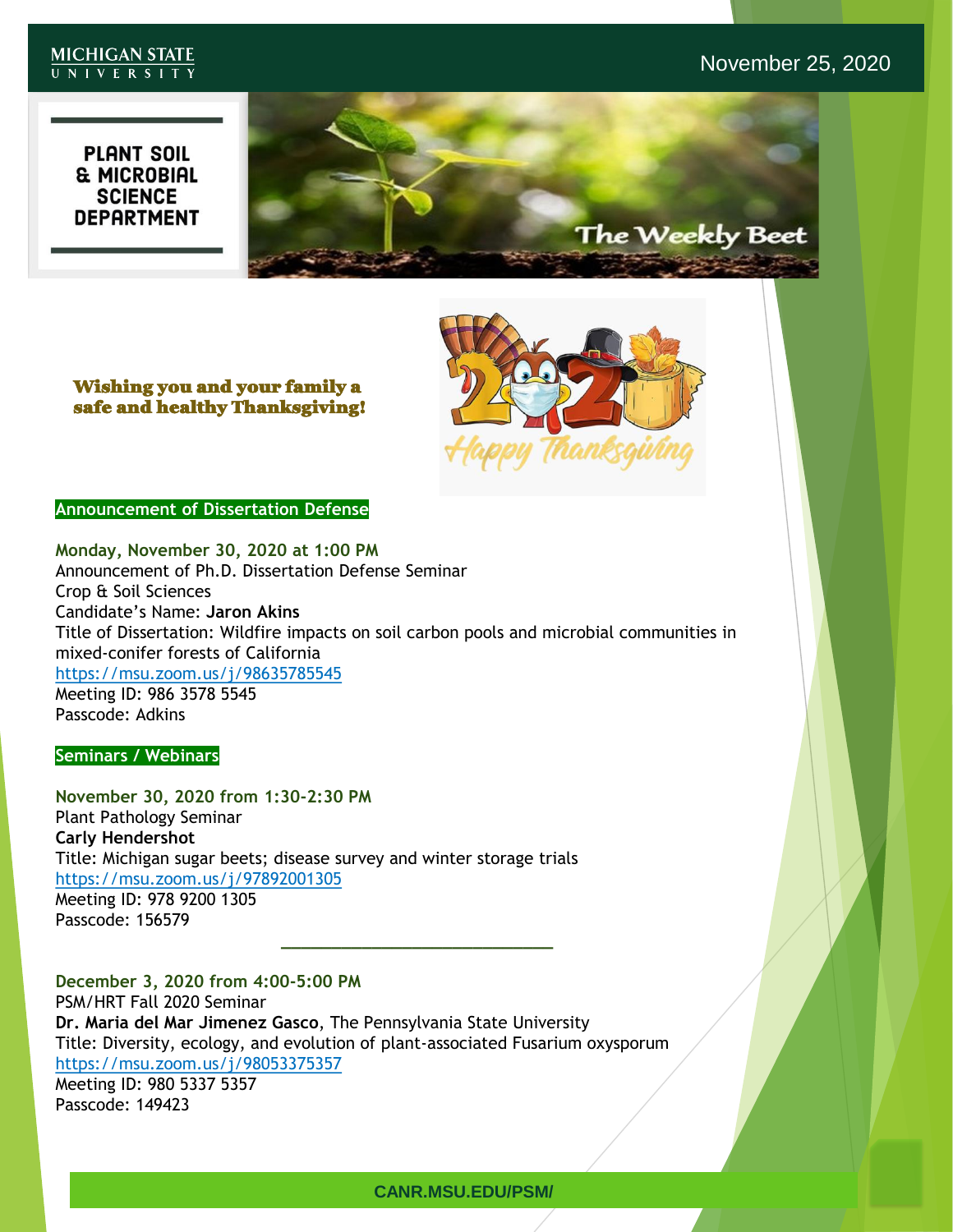#### **MICHIGAN STATE** UNIVERSITY

# November 25, 2020

**PLANT SOIL** & MICROBIAL<br>SCIENCE<br>DEPARTMENT SUBTITLE The Weekly Beet



Wishing you and your family a safe and healthy Thanksgiving!

#### **Announcement of Dissertation Defense**

**Monday, November 30, 2020 at 1:00 PM** Announcement of Ph.D. Dissertation Defense Seminar Crop & Soil Sciences Candidate's Name: **Jaron Akins** Title of Dissertation: Wildfire impacts on soil carbon pools and microbial communities in mixed-conifer forests of California <https://msu.zoom.us/j/98635785545> Meeting ID: 986 3578 5545 Passcode: Adkins

**Seminars / Webinars**

**November 30, 2020 from 1:30-2:30 PM** Plant Pathology Seminar **Carly Hendershot** Title: Michigan sugar beets; disease survey and winter storage trials <https://msu.zoom.us/j/97892001305> Meeting ID: 978 9200 1305 Passcode: 156579

**December 3, 2020 from 4:00-5:00 PM** PSM/HRT Fall 2020 Seminar **Dr. Maria del Mar Jimenez Gasco**, The Pennsylvania State University Title: Diversity, ecology, and evolution of plant-associated Fusarium oxysporum <https://msu.zoom.us/j/98053375357> Meeting ID: 980 5337 5357 Passcode: 149423

**\_\_\_\_\_\_\_\_\_\_\_\_\_\_\_\_\_\_\_\_\_\_\_\_\_\_\_**

**CANR.MSU.EDU/PSM/**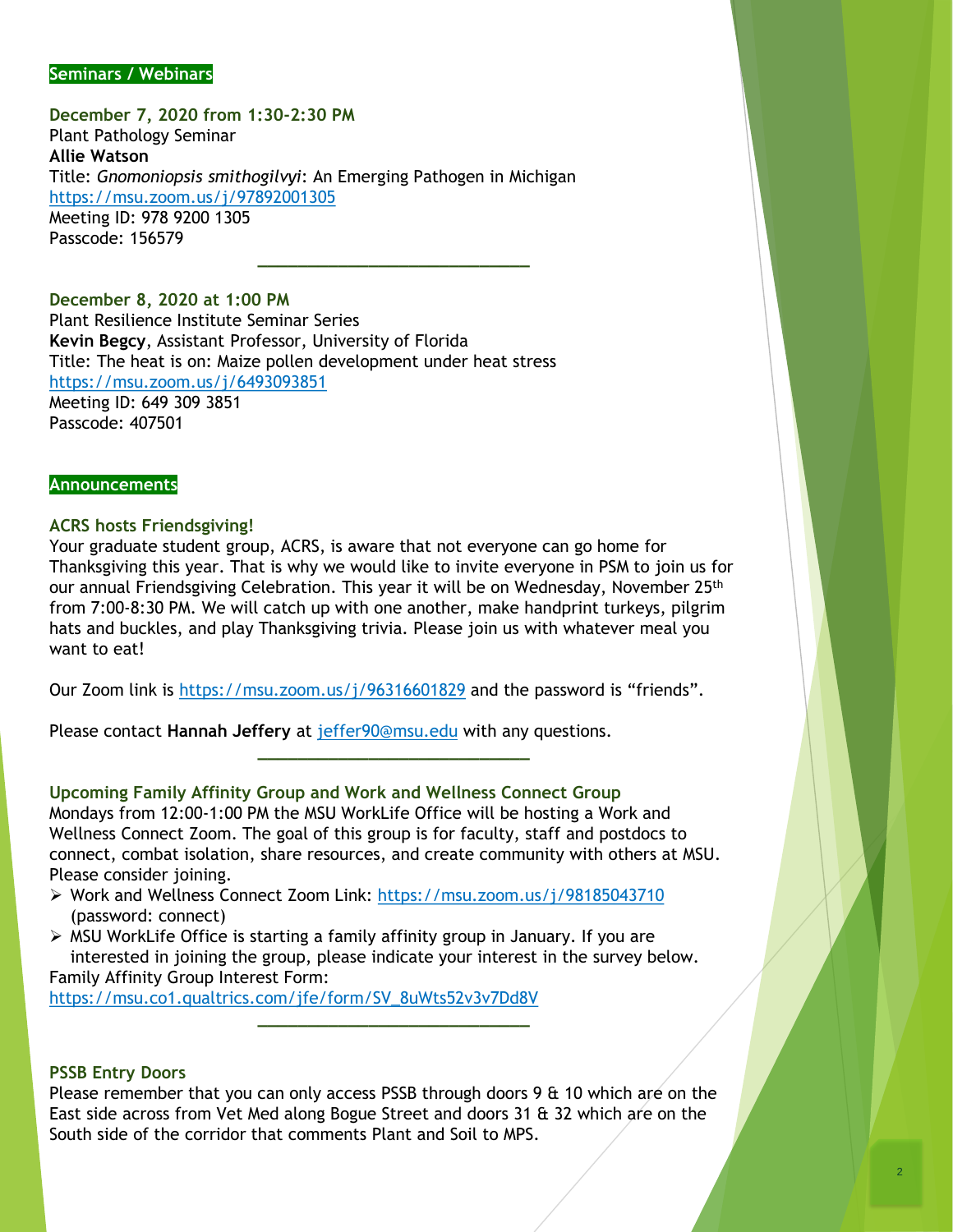#### **Seminars / Webinars**

**December 7, 2020 from 1:30-2:30 PM** Plant Pathology Seminar **Allie Watson** Title: *Gnomoniopsis smithogilvyi*: An Emerging Pathogen in Michigan <https://msu.zoom.us/j/97892001305> Meeting ID: 978 9200 1305 Passcode: 156579

#### **December 8, 2020 at 1:00 PM**

Plant Resilience Institute Seminar Series **Kevin Begcy**, Assistant Professor, University of Florida Title: The heat is on: Maize pollen development under heat stress <https://msu.zoom.us/j/6493093851> Meeting ID: 649 309 3851 Passcode: 407501

#### **Announcements**

#### **ACRS hosts Friendsgiving!**

Your graduate student group, ACRS, is aware that not everyone can go home for Thanksgiving this year. That is why we would like to invite everyone in PSM to join us for our annual Friendsgiving Celebration. This year it will be on Wednesday, November 25<sup>th</sup> from 7:00-8:30 PM. We will catch up with one another, make handprint turkeys, pilgrim hats and buckles, and play Thanksgiving trivia. Please join us with whatever meal you want to eat!

**\_\_\_\_\_\_\_\_\_\_\_\_\_\_\_\_\_\_\_\_\_\_\_\_\_\_\_**

Our Zoom link is<https://msu.zoom.us/j/96316601829> and the password is "friends".

Please contact **Hannah Jeffery** at [jeffer90@msu.edu](mailto:jeffer90@msu.edu) with any questions.

#### **Upcoming Family Affinity Group and Work and Wellness Connect Group**

Mondays from 12:00-1:00 PM the MSU WorkLife Office will be hosting a Work and Wellness Connect Zoom. The goal of this group is for faculty, staff and postdocs to connect, combat isolation, share resources, and create community with others at MSU. Please consider joining.

**\_\_\_\_\_\_\_\_\_\_\_\_\_\_\_\_\_\_\_\_\_\_\_\_\_\_\_**

- ➢ Work and Wellness Connect Zoom Link: <https://msu.zoom.us/j/98185043710> (password: connect)
- $\triangleright$  MSU WorkLife Office is starting a family affinity group in January. If you are interested in joining the group, please indicate your interest in the survey below. Family Affinity Group Interest Form:

[https://msu.co1.qualtrics.com/jfe/form/SV\\_8uWts52v3v7Dd8V](https://msu.co1.qualtrics.com/jfe/form/SV_8uWts52v3v7Dd8V)

#### **PSSB Entry Doors**

Please remember that you can only access PSSB through doors 9 & 10 which are on the East side across from Vet Med along Bogue Street and doors 31 & 32 which are on the South side of the corridor that comments Plant and Soil to MPS.

**\_\_\_\_\_\_\_\_\_\_\_\_\_\_\_\_\_\_\_\_\_\_\_\_\_\_\_**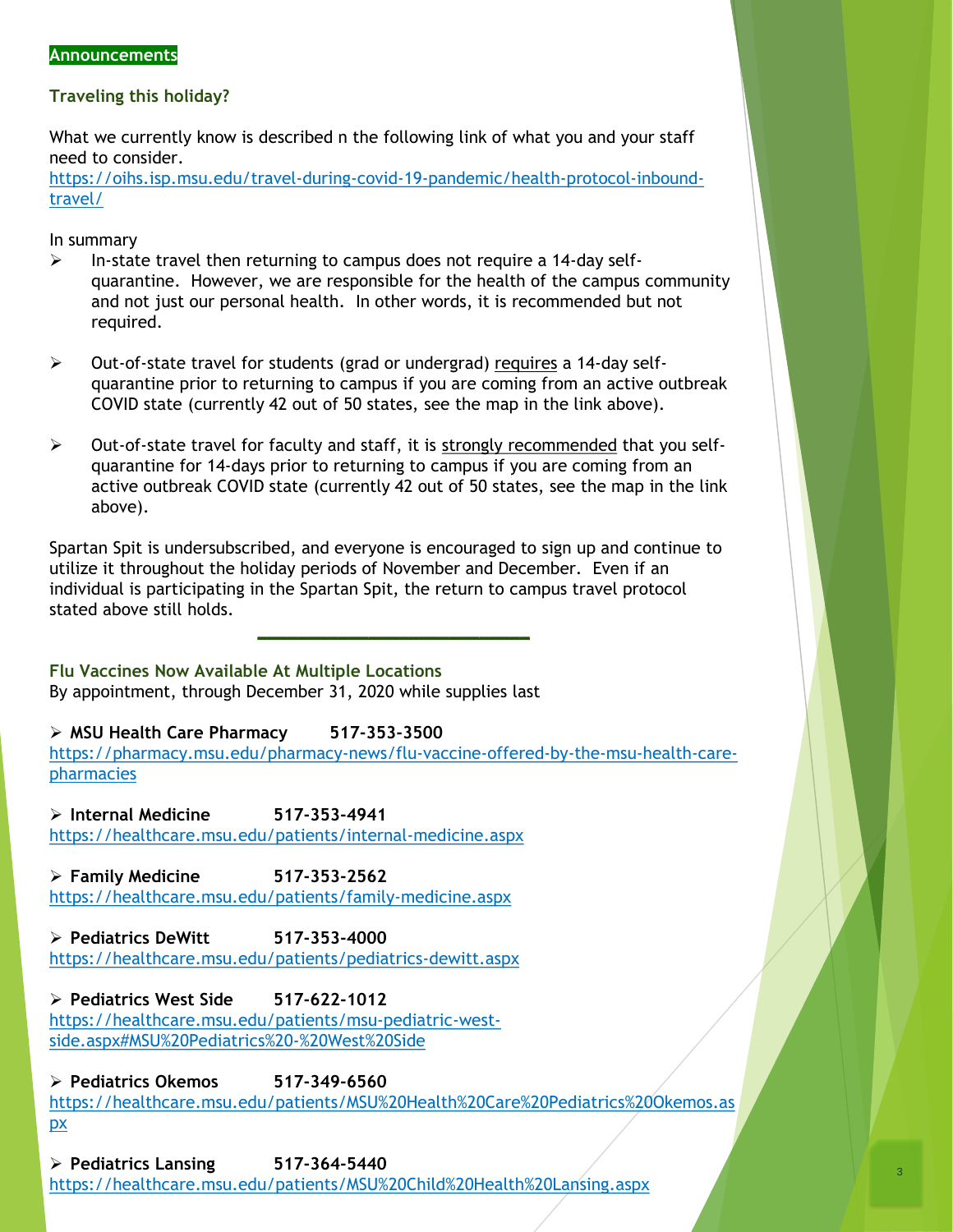#### **Announcements**

#### **Traveling this holiday?**

What we currently know is described n the following link of what you and your staff need to consider.

[https://oihs.isp.msu.edu/travel-during-covid-19-pandemic/health-protocol-inbound](https://oihs.isp.msu.edu/travel-during-covid-19-pandemic/health-protocol-inbound-travel/)travel/

In summary

- $\triangleright$  In-state travel then returning to campus does not require a 14-day selfquarantine. However, we are responsible for the health of the campus community and not just our personal health. In other words, it is recommended but not required.
- ➢ Out-of-state travel for students (grad or undergrad) requires a 14-day selfquarantine prior to returning to campus if you are coming from an active outbreak COVID state (currently 42 out of 50 states, see the map in the link above).
- $\triangleright$  Out-of-state travel for faculty and staff, it is strongly recommended that you selfquarantine for 14-days prior to returning to campus if you are coming from an active outbreak COVID state (currently 42 out of 50 states, see the map in the link above).

Spartan Spit is undersubscribed, and everyone is encouraged to sign up and continue to utilize it throughout the holiday periods of November and December. Even if an individual is participating in the Spartan Spit, the return to campus travel protocol stated above still holds.

**\_\_\_\_\_\_\_\_\_\_\_\_\_\_\_\_\_\_\_\_\_\_\_\_\_\_\_**

**Flu Vaccines Now Available At Multiple Locations**

By appointment, through December 31, 2020 while supplies last

➢ **MSU Health Care Pharmacy 517-353-3500**

[https://pharmacy.msu.edu/pharmacy-news/flu-vaccine-offered-by-the-msu-health-care](https://pharmacy.msu.edu/pharmacy-news/flu-vaccine-offered-by-the-msu-health-care-pharmacies)pharmacies

➢ **Internal Medicine 517-353-4941**

<https://healthcare.msu.edu/patients/internal-medicine.aspx>

➢ **Family Medicine 517-353-2562** <https://healthcare.msu.edu/patients/family-medicine.aspx>

➢ **Pediatrics DeWitt 517-353-4000** <https://healthcare.msu.edu/patients/pediatrics-dewitt.aspx>

## ➢ **Pediatrics West Side 517-622-1012**

[https://healthcare.msu.edu/patients/msu-pediatric-west](https://healthcare.msu.edu/patients/msu-pediatric-west-side.aspx#MSU%20Pediatrics%20-%20West%20Side)side.aspx#MSU%20Pediatrics%20-%20West%20Side

➢ **Pediatrics Okemos 517-349-6560**

[https://healthcare.msu.edu/patients/MSU%20Health%20Care%20Pediatrics%20Okemos.as](https://healthcare.msu.edu/patients/MSU%20Health%20Care%20Pediatrics%20Okemos.aspx) px

➢ **Pediatrics Lansing 517-364-5440** <https://healthcare.msu.edu/patients/MSU%20Child%20Health%20Lansing.aspx>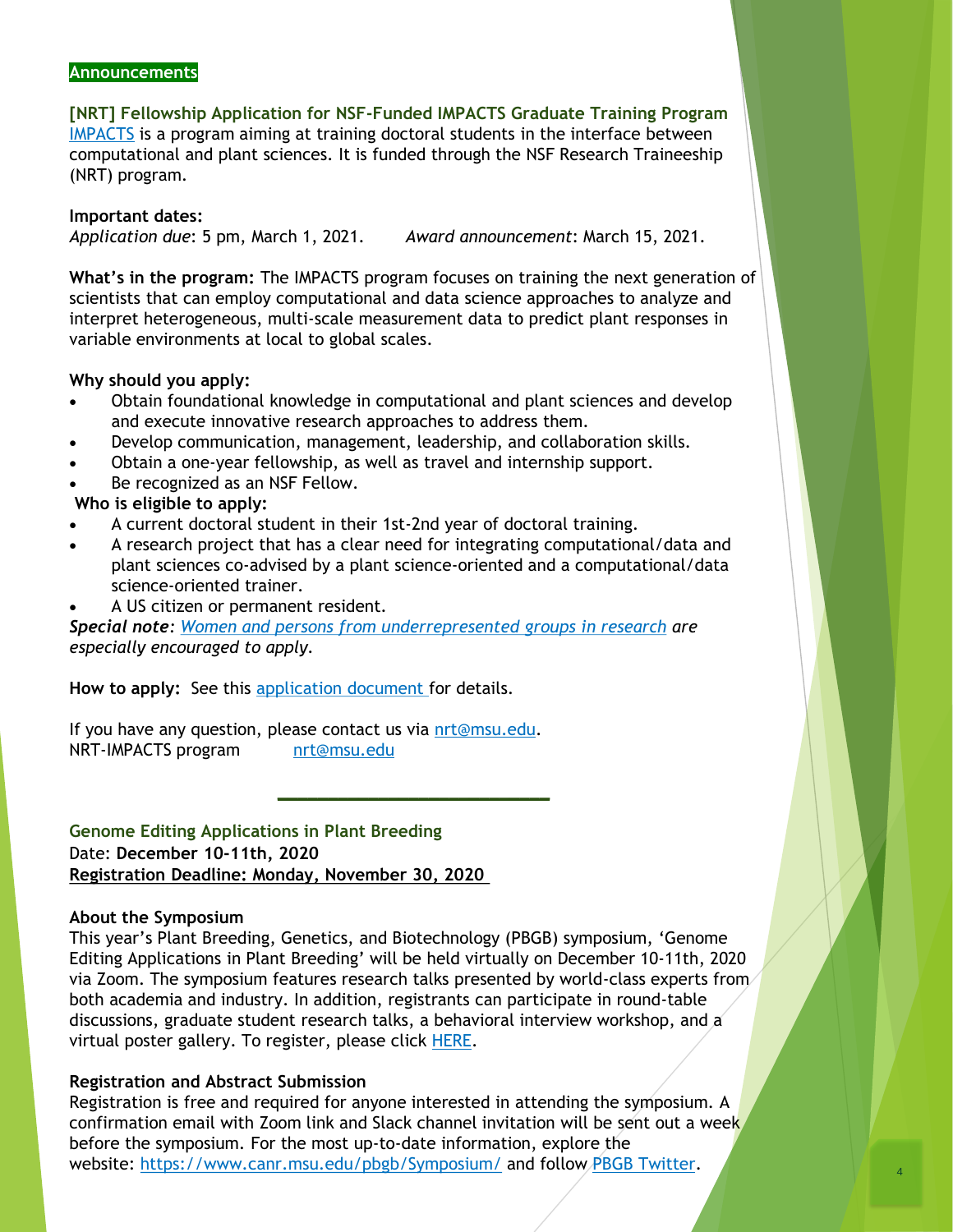#### **Announcements**

**[NRT] Fellowship Application for NSF-Funded IMPACTS Graduate Training Program** [IMPACTS](https://impacts.natsci.msu.edu/) is a program aiming at training doctoral students in the interface between computational and plant sciences. It is funded through the NSF Research Traineeship (NRT) program.

**Important dates:** *Application due*: 5 pm, March 1, 2021. *Award announcement*: March 15, 2021.

**What's in the program:** The IMPACTS program focuses on training the next generation of scientists that can employ computational and data science approaches to analyze and interpret heterogeneous, multi-scale measurement data to predict plant responses in variable environments at local to global scales.

#### **Why should you apply:**

- Obtain foundational knowledge in computational and plant sciences and develop and execute innovative research approaches to address them.
- Develop communication, management, leadership, and collaboration skills.
- Obtain a one-year fellowship, as well as travel and internship support.
- Be recognized as an NSF Fellow.

#### **Who is eligible to apply:**

- A current doctoral student in their 1st-2nd year of doctoral training.
- A research project that has a clear need for integrating computational/data and plant sciences co-advised by a plant science-oriented and a computational/data science-oriented trainer.
- A US citizen or permanent resident.

*Special note: [Women and persons from underrepresented groups in research](https://ncses.nsf.gov/pubs/nsf19304/digest/introduction) are especially encouraged to apply.*

**How to apply:** See this [application document f](https://docs.google.com/document/d/1EAK7Ta5jEGThsvpHMYoB37JpLemhDBKtXLFue9r2Rig/edit)or details.

If you have any question, please contact us via [nrt@msu.edu](mailto:nrt@msu.edu). NRT-IMPACTS program [nrt@msu.edu](mailto:nrt@msu.edu)

**Genome Editing Applications in Plant Breeding** Date: **December 10-11th, 2020 Registration Deadline: Monday, November 30, 2020**

#### **About the Symposium**

This year's Plant Breeding, Genetics, and Biotechnology (PBGB) symposium, 'Genome Editing Applications in Plant Breeding' will be held virtually on December 10-11th, 2020 via Zoom. The symposium features research talks presented by world-class experts from both academia and industry. In addition, registrants can participate in round-table discussions, graduate student research talks, a behavioral interview workshop, and a virtual poster gallery. To register, please click [HERE](https://docs.google.com/forms/d/e/1FAIpQLSeiP7x8vfrFlHmJv2WkqLoTcC3aucQAXmvajjmv4Dvqvp4swQ/viewform).

**\_\_\_\_\_\_\_\_\_\_\_\_\_\_\_\_\_\_\_\_\_\_\_\_\_\_\_**

#### **Registration and Abstract Submission**

Registration is free and required for anyone interested in attending the symposium. A confirmation email with Zoom link and Slack channel invitation will be sent out a week before the symposium. For the most up-to-date information, explore the website: <https://www.canr.msu.edu/pbgb/Symposium/> and follow [PBGB Twitter](https://twitter.com/msu_pbgb).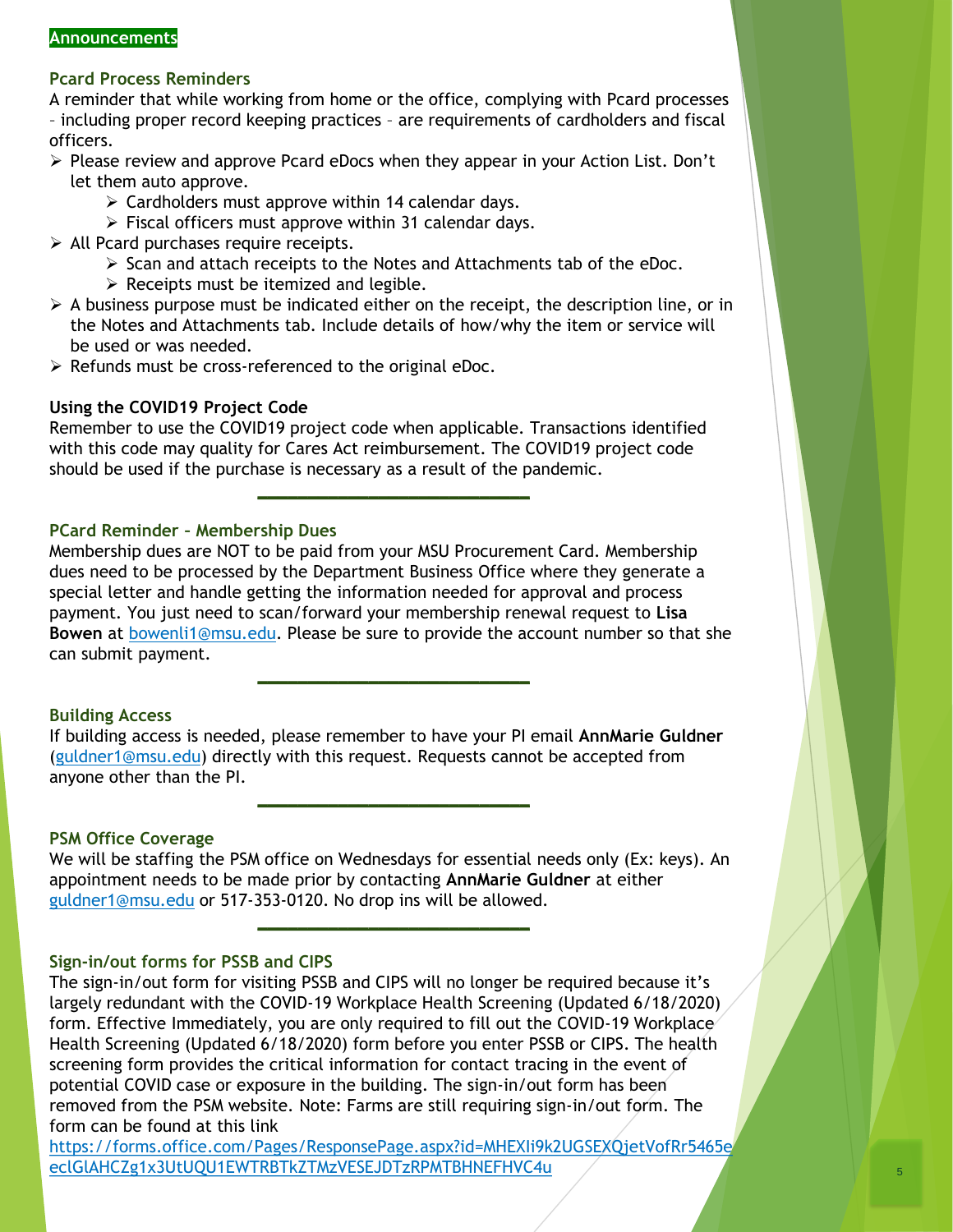#### **Announcements**

#### **Pcard Process Reminders**

A reminder that while working from home or the office, complying with Pcard processes – including proper record keeping practices – are requirements of cardholders and fiscal officers.

- ➢ Please review and approve Pcard eDocs when they appear in your Action List. Don't let them auto approve.
	- $\triangleright$  Cardholders must approve within 14 calendar days.
	- ➢ Fiscal officers must approve within 31 calendar days.
- ➢ All Pcard purchases require receipts.
	- ➢ Scan and attach receipts to the Notes and Attachments tab of the eDoc.
	- $\triangleright$  Receipts must be itemized and legible.
- $\triangleright$  A business purpose must be indicated either on the receipt, the description line, or in the Notes and Attachments tab. Include details of how/why the item or service will be used or was needed.
- ➢ Refunds must be cross-referenced to the original eDoc.

#### **Using the COVID19 Project Code**

Remember to use the COVID19 project code when applicable. Transactions identified with this code may quality for Cares Act reimbursement. The COVID19 project code should be used if the purchase is necessary as a result of the pandemic.

**\_\_\_\_\_\_\_\_\_\_\_\_\_\_\_\_\_\_\_\_\_\_\_\_\_\_\_**

#### **PCard Reminder – Membership Dues**

Membership dues are NOT to be paid from your MSU Procurement Card. Membership dues need to be processed by the Department Business Office where they generate a special letter and handle getting the information needed for approval and process payment. You just need to scan/forward your membership renewal request to **Lisa Bowen** at [bowenli1@msu.edu.](mailto:bowenli1@msu.edu) Please be sure to provide the account number so that she can submit payment.

**\_\_\_\_\_\_\_\_\_\_\_\_\_\_\_\_\_\_\_\_\_\_\_\_\_\_\_**

#### **Building Access**

If building access is needed, please remember to have your PI email **AnnMarie Guldner**  ([guldner1@msu.edu](mailto:guldner1@msu.edu)) directly with this request. Requests cannot be accepted from anyone other than the PI.

**\_\_\_\_\_\_\_\_\_\_\_\_\_\_\_\_\_\_\_\_\_\_\_\_\_\_\_**

#### **PSM Office Coverage**

We will be staffing the PSM office on Wednesdays for essential needs only (Ex: keys). An appointment needs to be made prior by contacting **AnnMarie Guldner** at either [guldner1@msu.edu](mailto:guldner1@msu.edu) or 517-353-0120. No drop ins will be allowed.

**\_\_\_\_\_\_\_\_\_\_\_\_\_\_\_\_\_\_\_\_\_\_\_\_\_\_\_**

#### **Sign-in/out forms for PSSB and CIPS**

The sign-in/out form for visiting PSSB and CIPS will no longer be required because it's largely redundant with the COVID-19 Workplace Health Screening (Updated 6/18/2020) form. Effective Immediately, you are only required to fill out the COVID-19 Workplace Health Screening (Updated 6/18/2020) form before you enter PSSB or CIPS. The health screening form provides the critical information for contact tracing in the event of potential COVID case or exposure in the building. The sign-in/out form has been removed from the PSM website. Note: Farms are still requiring sign-in/out form. The form can be found at this link

[https://forms.office.com/Pages/ResponsePage.aspx?id=MHEXIi9k2UGSEXQjetVofRr5465e](https://forms.office.com/Pages/ResponsePage.aspx?id=MHEXIi9k2UGSEXQjetVofRr5465eeclGlAHCZg1x3UtUQU1EWTRBTkZTMzVESEJDTzRPMTBHNEFHVC4u) eclGlAHCZg1x3UtUQU1EWTRBTkZTMzVESEJDTzRPMTBHNEFHVC4u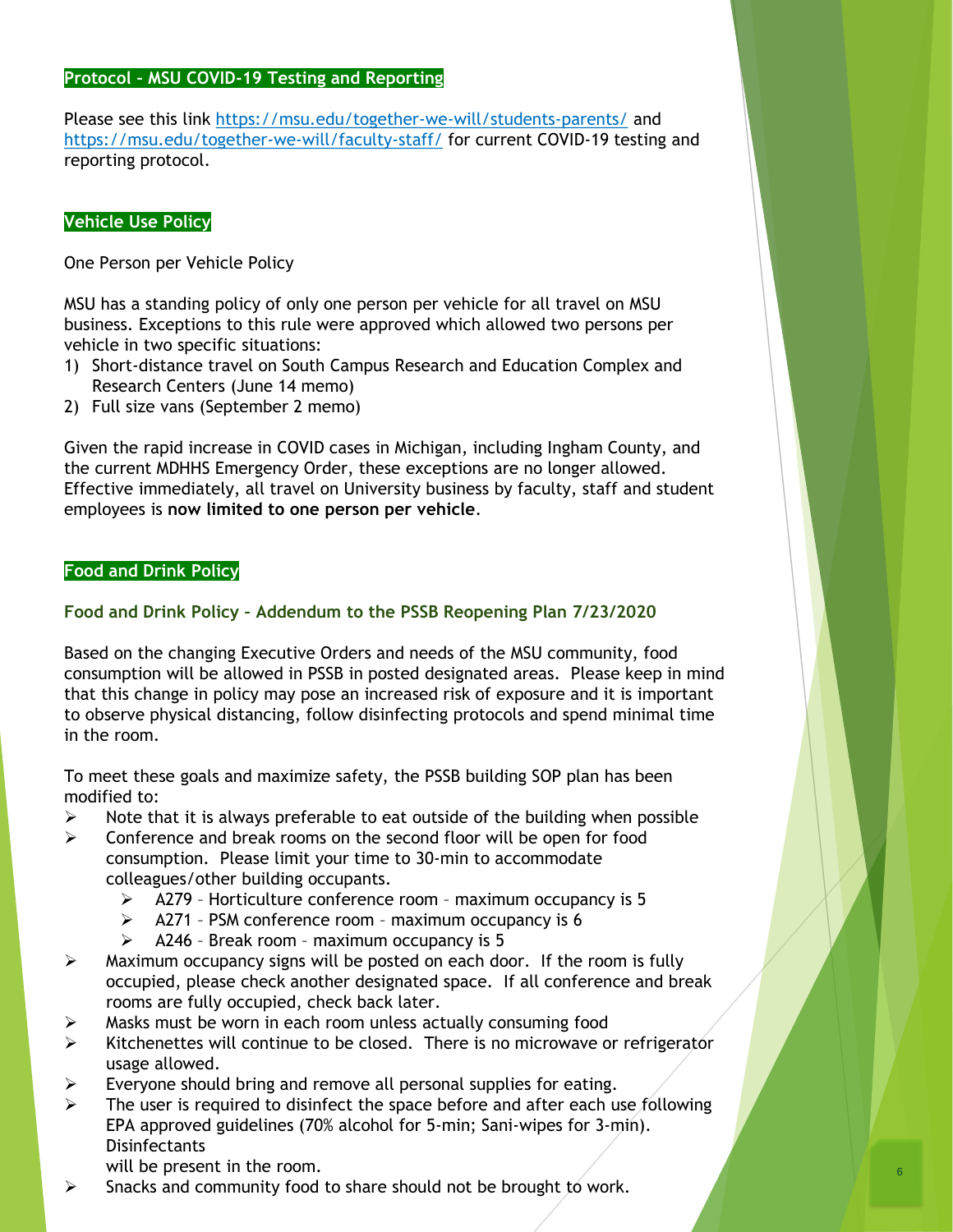#### **Protocol – MSU COVID-19 Testing and Reporting**

Please see this link <https://msu.edu/together-we-will/students-parents/> and <https://msu.edu/together-we-will/faculty-staff/> for current COVID-19 testing and reporting protocol.

### **Vehicle Use Policy**

One Person per Vehicle Policy

MSU has a standing policy of only one person per vehicle for all travel on MSU business. Exceptions to this rule were approved which allowed two persons per vehicle in two specific situations:

- 1) Short-distance travel on South Campus Research and Education Complex and Research Centers (June 14 memo)
- 2) Full size vans (September 2 memo)

Given the rapid increase in COVID cases in Michigan, including Ingham County, and the current MDHHS Emergency Order, these exceptions are no longer allowed. Effective immediately, all travel on University business by faculty, staff and student employees is **now limited to one person per vehicle**.

#### **Food and Drink Policy**

#### **Food and Drink Policy – Addendum to the PSSB Reopening Plan 7/23/2020**

Based on the changing Executive Orders and needs of the MSU community, food consumption will be allowed in PSSB in posted designated areas. Please keep in mind that this change in policy may pose an increased risk of exposure and it is important to observe physical distancing, follow disinfecting protocols and spend minimal time in the room.

To meet these goals and maximize safety, the PSSB building SOP plan has been modified to:

- $\triangleright$  Note that it is always preferable to eat outside of the building when possible
- $\triangleright$  Conference and break rooms on the second floor will be open for food consumption. Please limit your time to 30-min to accommodate colleagues/other building occupants.
	- $\triangleright$  A279 Horticulture conference room maximum occupancy is 5
	- $\triangleright$  A271 PSM conference room maximum occupancy is 6
	- $\triangleright$  A246 Break room maximum occupancy is 5
- $\triangleright$  Maximum occupancy signs will be posted on each door. If the room is fully occupied, please check another designated space. If all conference and break rooms are fully occupied, check back later.
- ➢ Masks must be worn in each room unless actually consuming food
- ➢ Kitchenettes will continue to be closed. There is no microwave or refrigerator usage allowed.
- $\triangleright$  Everyone should bring and remove all personal supplies for eating.
- $\triangleright$  The user is required to disinfect the space before and after each use following EPA approved guidelines (70% alcohol for 5-min; Sani-wipes for 3-min). **Disinfectants**

6

- will be present in the room.
- Snacks and community food to share should not be brought to work.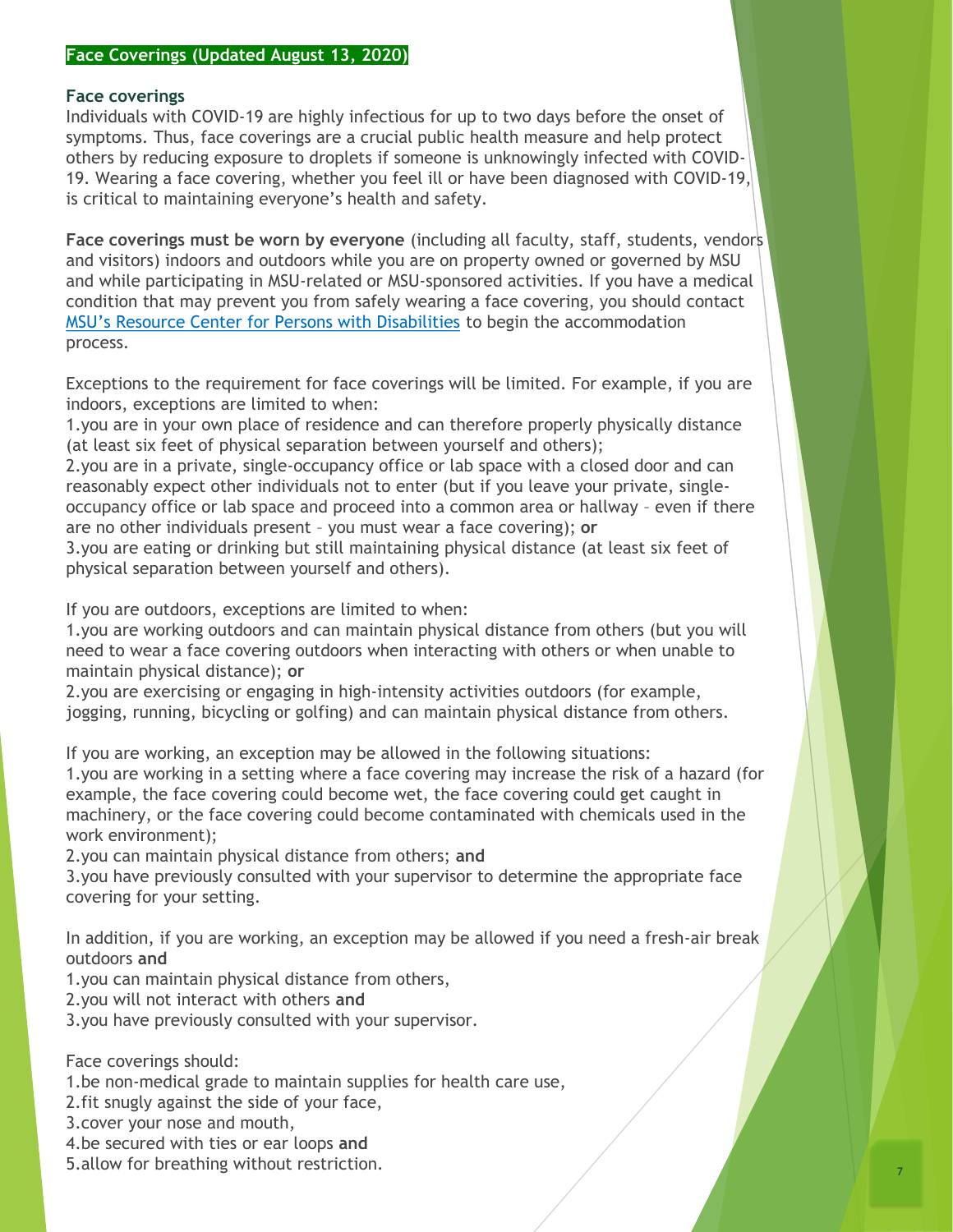#### **Face Coverings (Updated August 13, 2020)**

#### **Face coverings**

Individuals with COVID-19 are highly infectious for up to two days before the onset of symptoms. Thus, face coverings are a crucial public health measure and help protect others by reducing exposure to droplets if someone is unknowingly infected with COVID-19. Wearing a face covering, whether you feel ill or have been diagnosed with COVID-19, is critical to maintaining everyone's health and safety.

**Face coverings must be worn by everyone** (including all faculty, staff, students, vendors and visitors) indoors and outdoors while you are on property owned or governed by MSU and while participating in MSU-related or MSU-sponsored activities. If you have a medical condition that may prevent you from safely wearing a face covering, you should contact [MSU's Resource Center for Persons with Disabilities](https://www.rcpd.msu.edu/) to begin the accommodation process.

Exceptions to the requirement for face coverings will be limited. For example, if you are indoors, exceptions are limited to when:

1.you are in your own place of residence and can therefore properly physically distance (at least six feet of physical separation between yourself and others);

2.you are in a private, single-occupancy office or lab space with a closed door and can reasonably expect other individuals not to enter (but if you leave your private, singleoccupancy office or lab space and proceed into a common area or hallway – even if there are no other individuals present – you must wear a face covering); **or**

3.you are eating or drinking but still maintaining physical distance (at least six feet of physical separation between yourself and others).

If you are outdoors, exceptions are limited to when:

1.you are working outdoors and can maintain physical distance from others (but you will need to wear a face covering outdoors when interacting with others or when unable to maintain physical distance); **or**

2.you are exercising or engaging in high-intensity activities outdoors (for example, jogging, running, bicycling or golfing) and can maintain physical distance from others.

If you are working, an exception may be allowed in the following situations:

1.you are working in a setting where a face covering may increase the risk of a hazard (for example, the face covering could become wet, the face covering could get caught in machinery, or the face covering could become contaminated with chemicals used in the work environment);

2.you can maintain physical distance from others; **and**

3.you have previously consulted with your supervisor to determine the appropriate face covering for your setting.

In addition, if you are working, an exception may be allowed if you need a fresh-air break outdoors **and**

1.you can maintain physical distance from others,

2.you will not interact with others **and**

3.you have previously consulted with your supervisor.

Face coverings should:

- 1.be non-medical grade to maintain supplies for health care use,
- 2.fit snugly against the side of your face,
- 3.cover your nose and mouth,
- 4.be secured with ties or ear loops **and**
- 5.allow for breathing without restriction.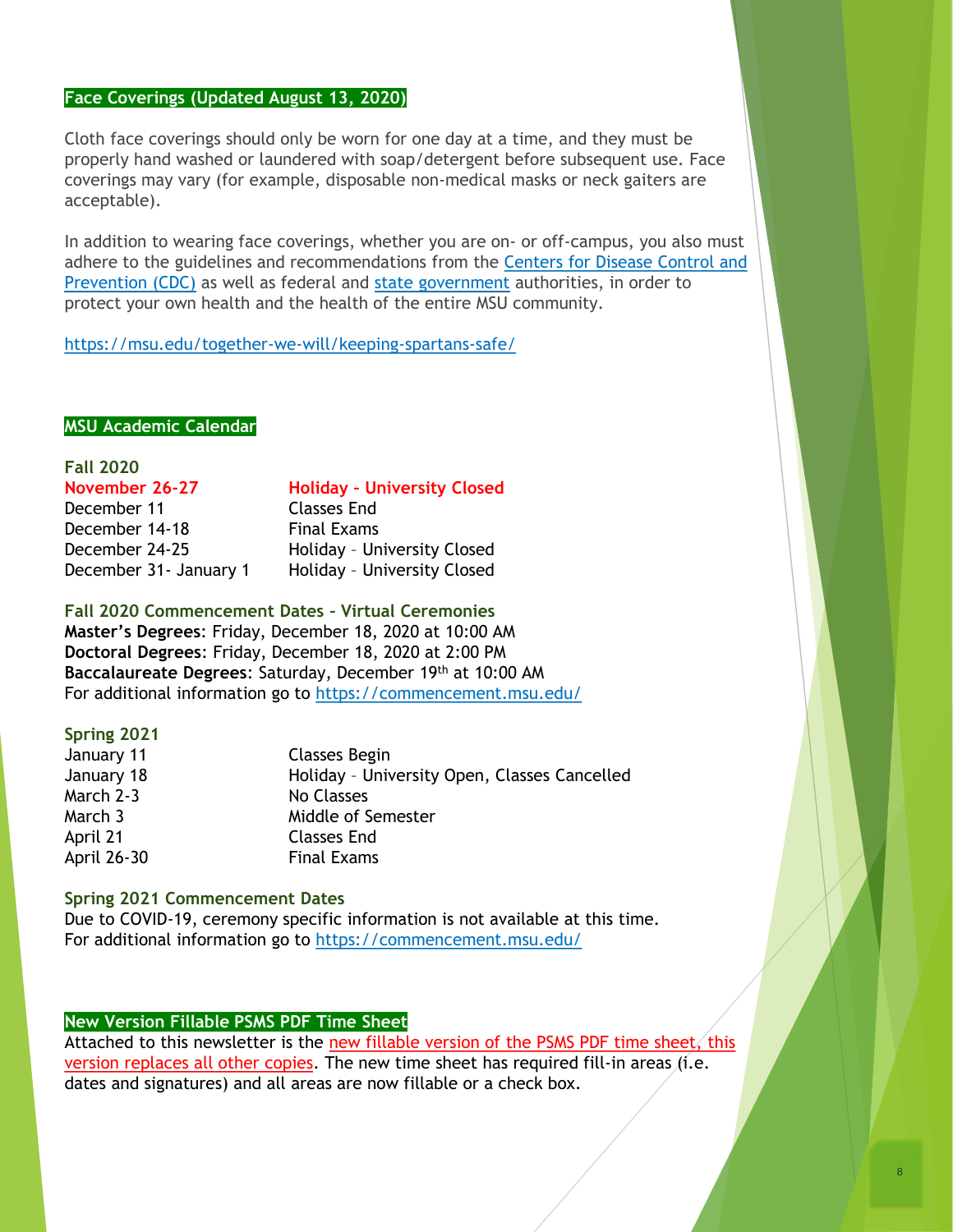#### **Face Coverings (Updated August 13, 2020)**

Cloth face coverings should only be worn for one day at a time, and they must be properly hand washed or laundered with soap/detergent before subsequent use. Face coverings may vary (for example, disposable non-medical masks or neck gaiters are acceptable).

In addition to wearing face coverings, whether you are on- or off-campus, you also must [adhere to the guidelines and recommendations from the](https://www.cdc.gov/coronavirus/2019-nCoV/index.html) Centers for Disease Control and Prevention (CDC) as well as federal and [state government](https://www.michigan.gov/coronavirus/) authorities, in order to protect your own health and the health of the entire MSU community.

<https://msu.edu/together-we-will/keeping-spartans-safe/>

#### **MSU Academic Calendar**

# **Fall 2020**

# **November 26-27 Holiday – University Closed**

December 11 Classes End December 14-18 Final Exams

December 24-25 Holiday – University Closed December 31- January 1 Holiday - University Closed

**Fall 2020 Commencement Dates – Virtual Ceremonies**

**Master's Degrees**: Friday, December 18, 2020 at 10:00 AM **Doctoral Degrees**: Friday, December 18, 2020 at 2:00 PM **Baccalaureate Degrees**: Saturday, December 19th at 10:00 AM For additional information go to <https://commencement.msu.edu/>

#### **Spring 2021**

| January 11  | Classes Begin                                |
|-------------|----------------------------------------------|
| January 18  | Holiday - University Open, Classes Cancelled |
| March 2-3   | No Classes                                   |
| March 3     | Middle of Semester                           |
| April 21    | <b>Classes End</b>                           |
| April 26-30 | <b>Final Exams</b>                           |

#### **Spring 2021 Commencement Dates**

Due to COVID-19, ceremony specific information is not available at this time. For additional information go to <https://commencement.msu.edu/>

#### **New Version Fillable PSMS PDF Time Sheet**

Attached to this newsletter is the new fillable version of the PSMS PDF time sheet, this version replaces all other copies. The new time sheet has required fill-in areas (i.e. dates and signatures) and all areas are now fillable or a check box.